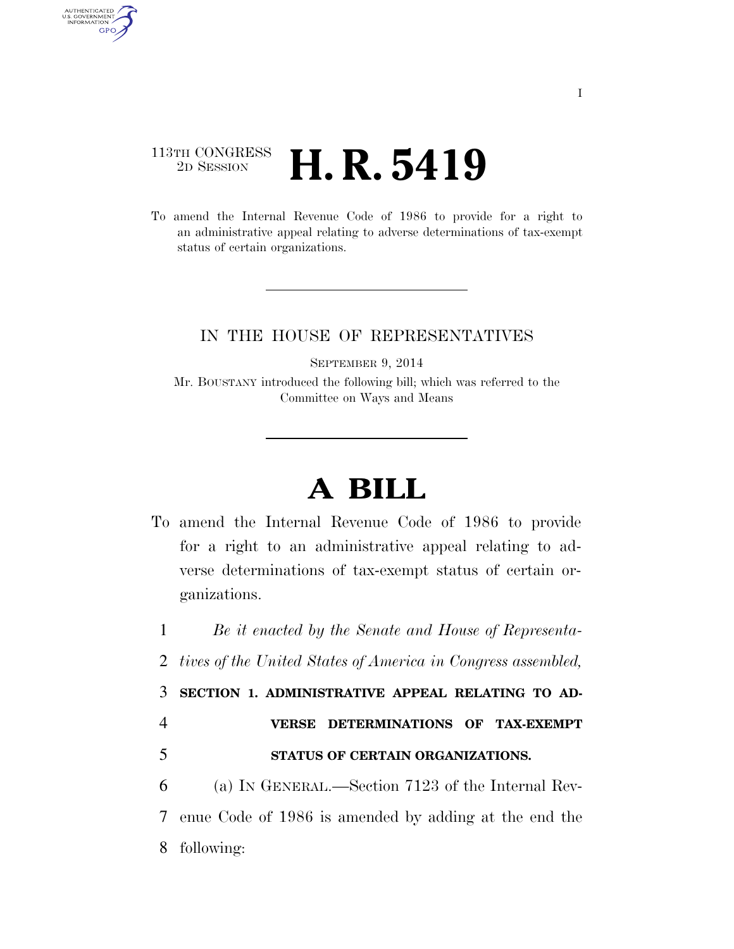## 113TH CONGRESS <sup>2D SESSION</sup> **H. R. 5419**

AUTHENTICATED<br>U.S. GOVERNMENT<br>INFORMATION GPO

> To amend the Internal Revenue Code of 1986 to provide for a right to an administrative appeal relating to adverse determinations of tax-exempt status of certain organizations.

## IN THE HOUSE OF REPRESENTATIVES

SEPTEMBER 9, 2014

Mr. BOUSTANY introduced the following bill; which was referred to the Committee on Ways and Means

## **A BILL**

To amend the Internal Revenue Code of 1986 to provide for a right to an administrative appeal relating to adverse determinations of tax-exempt status of certain organizations.

1 *Be it enacted by the Senate and House of Representa-*

2 *tives of the United States of America in Congress assembled,* 

3 **SECTION 1. ADMINISTRATIVE APPEAL RELATING TO AD-**

- 4 **VERSE DETERMINATIONS OF TAX-EXEMPT**
- 5 **STATUS OF CERTAIN ORGANIZATIONS.**
- 6 (a) IN GENERAL.—Section 7123 of the Internal Rev-

7 enue Code of 1986 is amended by adding at the end the 8 following: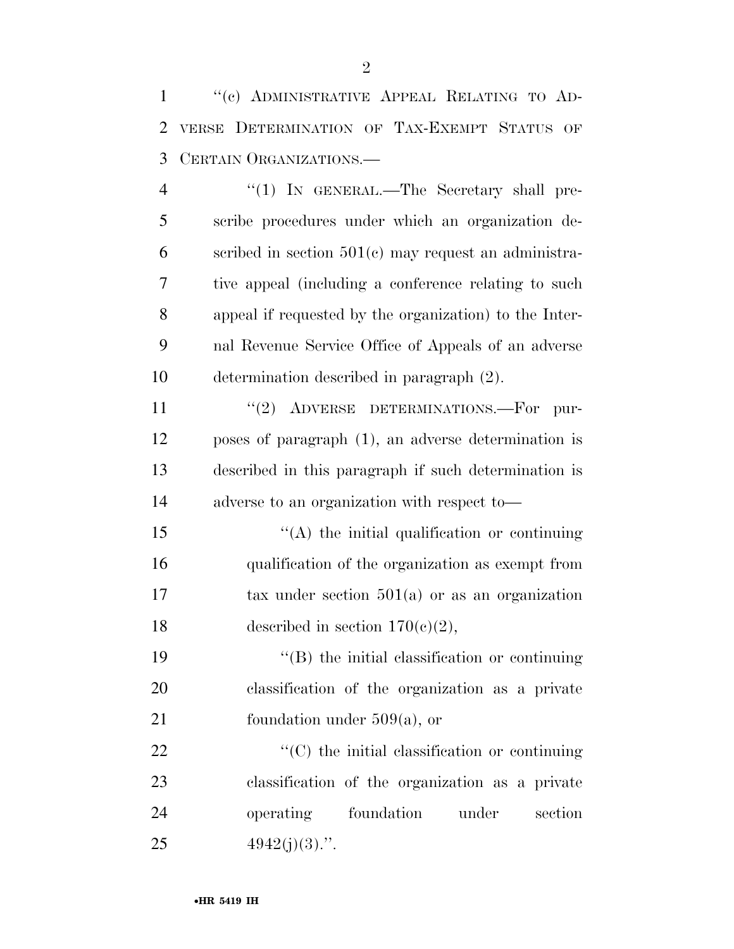''(c) ADMINISTRATIVE APPEAL RELATING TO AD- VERSE DETERMINATION OF TAX-EXEMPT STATUS OF CERTAIN ORGANIZATIONS.—

4 "(1) IN GENERAL.—The Secretary shall pre- scribe procedures under which an organization de-6 scribed in section  $501(e)$  may request an administra- tive appeal (including a conference relating to such appeal if requested by the organization) to the Inter- nal Revenue Service Office of Appeals of an adverse determination described in paragraph (2).

11 "(2) ADVERSE DETERMINATIONS.—For pur- poses of paragraph (1), an adverse determination is described in this paragraph if such determination is adverse to an organization with respect to—

 $\mathcal{L}(\mathbf{A})$  the initial qualification or continuing qualification of the organization as exempt from tax under section 501(a) or as an organization 18 described in section  $170(c)(2)$ ,

 ''(B) the initial classification or continuing classification of the organization as a private 21 foundation under  $509(a)$ , or

 $\cdot$  (C) the initial classification or continuing classification of the organization as a private operating foundation under section  $4942(i)(3)$ .".